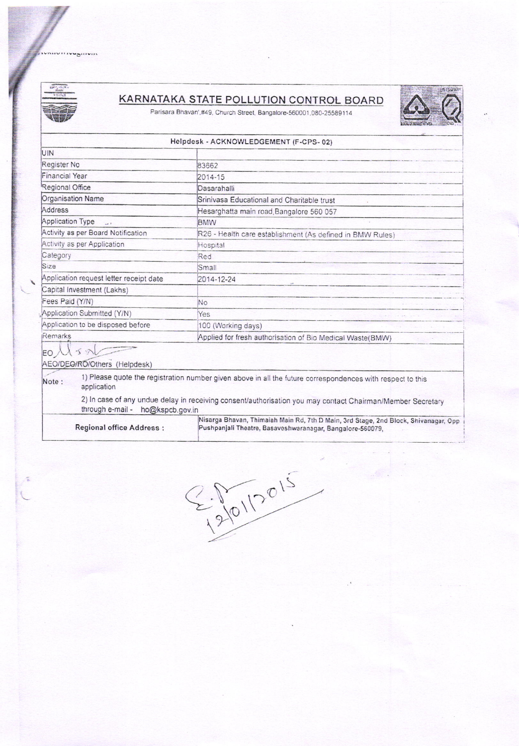mivirivu<sub>b</sub>ilivin



ã

## **KARNATAKA STATE POLLUTION CONTROL BOARD**

Parisara Bhavan',#49, Church Street, Bangalore-560001,080-25589114



## Helpdesk - ACKNOWLEDGEMENT (F-CPS-02)

| Register No<br>Financial Year<br>Regional Office           | 83662<br>2014-15<br>Dasarahalli                                                                                                                  |
|------------------------------------------------------------|--------------------------------------------------------------------------------------------------------------------------------------------------|
|                                                            |                                                                                                                                                  |
|                                                            |                                                                                                                                                  |
|                                                            |                                                                                                                                                  |
| Organisation Name                                          | Srinivasa Educational and Charitable trust                                                                                                       |
| Address                                                    | Hesarghatta main road Bangalore 560 057                                                                                                          |
| Application Type<br>$\frac{1}{2}$                          | <b>BMW</b>                                                                                                                                       |
| Activity as per Board Notification                         | R26 - Health care establishment (As defined in BMW Rules)                                                                                        |
| Activity as per Application                                | Hospital                                                                                                                                         |
| Category                                                   | Red                                                                                                                                              |
| Size                                                       | Small                                                                                                                                            |
| Application request letter receipt date                    | 2014-12-24                                                                                                                                       |
| Capital Investment (Lakhs)                                 |                                                                                                                                                  |
| Fees Paid (Y/N)                                            | No                                                                                                                                               |
| Application Submitted (Y/N)                                | Yes                                                                                                                                              |
| Application to be disposed before                          | 100 (Working days)                                                                                                                               |
| Remarks                                                    | Applied for fresh authorisation of Bio Medical Waste(BMW)                                                                                        |
| $\leq$ $\rightarrow$<br>EO<br>AEO/DEO/RO/Others (Helpdesk) |                                                                                                                                                  |
| Note:<br>application                                       | 1) Please quote the registration number given above in all the future correspondences with respect to this                                       |
| through e-mail -<br>ho@kspcb.gov.in                        | 2) In case of any undue delay in receiving consent/authorisation you may contact Chairman/Member Secretary                                       |
| <b>Regional office Address:</b>                            | Nisarga Bhavan, Thimaiah Main Rd, 7th D Main, 3rd Stage, 2nd Block, Shivanagar, Opp<br>Pushpanjali Theatre, Basaveshwaranagar, Bangalore-560079, |

 $2012015$